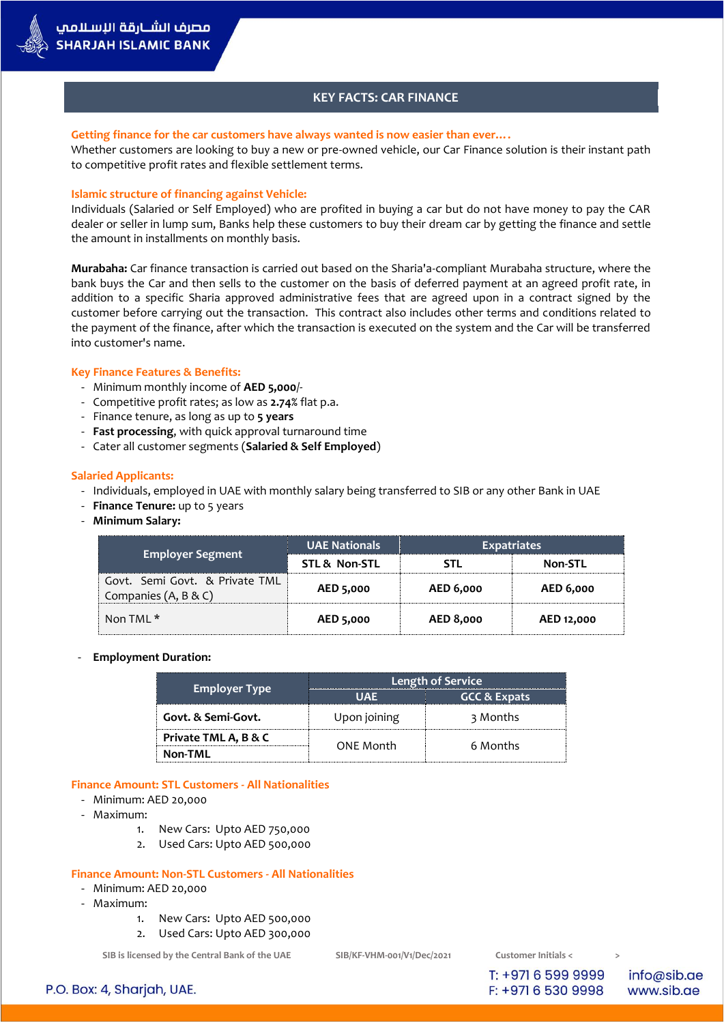

## **KEY FACTS: CAR FINANCE**

#### **Getting finance for the car customers have always wanted is now easier than ever….**

Whether customers are looking to buy a new or pre-owned vehicle, our Car Finance solution is their instant path to competitive profit rates and flexible settlement terms.

### **Islamic structure of financing against Vehicle:**

Individuals (Salaried or Self Employed) who are profited in buying a car but do not have money to pay the CAR dealer or seller in lump sum, Banks help these customers to buy their dream car by getting the finance and settle the amount in installments on monthly basis.

**Murabaha:** Car finance transaction is carried out based on the Sharia'a-compliant Murabaha structure, where the bank buys the Car and then sells to the customer on the basis of deferred payment at an agreed profit rate, in addition to a specific Sharia approved administrative fees that are agreed upon in a contract signed by the customer before carrying out the transaction. This contract also includes other terms and conditions related to the payment of the finance, after which the transaction is executed on the system and the Car will be transferred into customer's name.

### **Key Finance Features & Benefits:**

- Minimum monthly income of **AED 5,000**/-
- Competitive profit rates; as low as **2.74%** flat p.a.
- Finance tenure, as long as up to **5 years**
- **Fast processing**, with quick approval turnaround time
- Cater all customer segments (**Salaried & Self Employed**)

### **Salaried Applicants:**

- Individuals, employed in UAE with monthly salary being transferred to SIB or any other Bank in UAE
- **Finance Tenure:** up to 5 years
- **Minimum Salary:**

|                                                        | <b>UAE Nationals</b> | <b>Expatriates</b> |                  |
|--------------------------------------------------------|----------------------|--------------------|------------------|
| <b>Employer Segment</b>                                | STL & Non-STL        | STI.               | <b>Non-STL</b>   |
| Govt. Semi Govt. & Private TML<br>Companies (A, B & C) | AED 5,000            | AED 6,000          | <b>AED 6,000</b> |
| Non TML $^*$                                           | AED 5,000            | <b>AED 8,000</b>   | AED 12,000       |

#### - **Employment Duration:**

|                      | <b>Length of Service</b> |                         |  |
|----------------------|--------------------------|-------------------------|--|
| <b>Employer Type</b> | UAF                      | <b>GCC &amp; Expats</b> |  |
| Govt. & Semi-Govt.   | Upon joining             | 3 Months                |  |
| Private TML A, B & C | ONE Month                | 6 Months                |  |
| Non-TML              |                          |                         |  |

### **Finance Amount: STL Customers - All Nationalities**

- Minimum: AED 20,000
- Maximum:
	- 1. New Cars: Upto AED 750,000
	- 2. Used Cars: Upto AED 500,000

#### **Finance Amount: Non-STL Customers - All Nationalities**

- Minimum: AED 20,000
- Maximum:
	- 1. New Cars: Upto AED 500,000
	- 2. Used Cars: Upto AED 300,000

**SIB is licensed by the Central Bank of the UAE SIB/KF-VHM-001/V1/Dec/2021 Customer Initials < >**

T: +971 6 599 9999 F: +971 6 530 9998

info@sib.ae www.sib.ae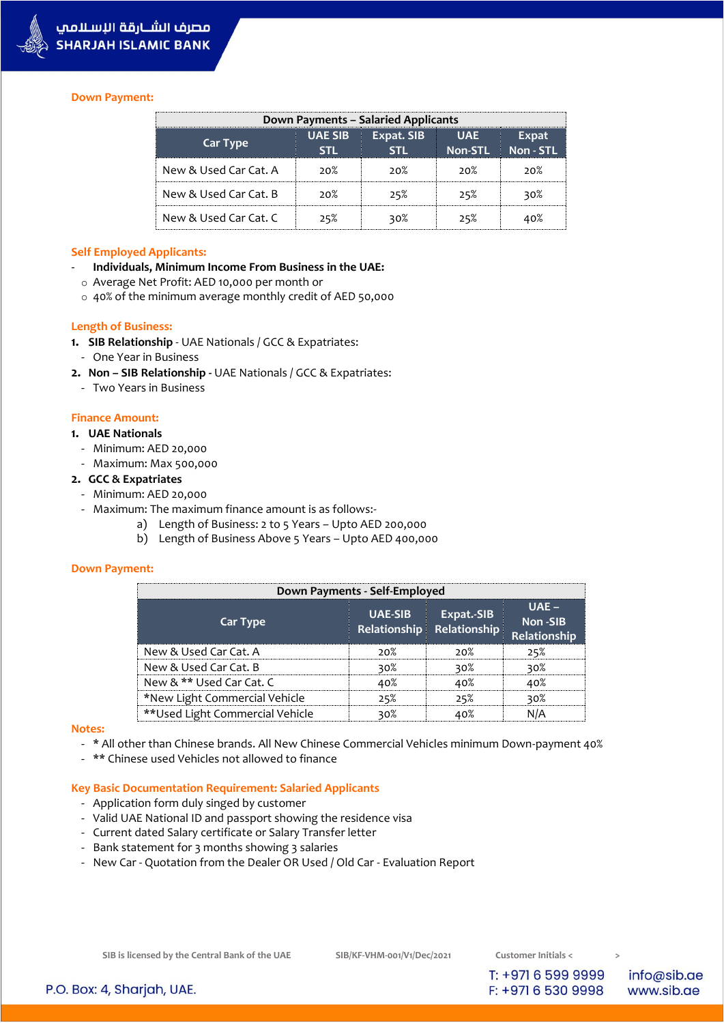

### **Down Payment:**

| Down Payments – Salaried Applicants |                        |            |                              |                           |
|-------------------------------------|------------------------|------------|------------------------------|---------------------------|
| Car Type                            | <b>UAE SIB</b><br>STI. | Expat. SIB | <b>UAE</b><br><b>Non-STL</b> | <b>Expat</b><br>Non - STL |
| New & Used Car Cat. A               | ാറ%                    | ാറ%        | ാറ%                          | 20%                       |
| New & Used Car Cat. B               | ാറ%                    | 25%        | 25%                          | 30%                       |
| New & Used Car Cat. C               | 25%                    | 30%        | 25%                          | 40%                       |

#### **Self Employed Applicants:**

- **Individuals, Minimum Income From Business in the UAE:**
- o Average Net Profit: AED 10,000 per month or
- o 40% of the minimum average monthly credit of AED 50,000

### **Length of Business:**

- **1. SIB Relationship** UAE Nationals / GCC & Expatriates:
- One Year in Business
- **2. Non – SIB Relationship -** UAE Nationals / GCC & Expatriates:
- Two Years in Business

## **Finance Amount:**

## **1. UAE Nationals**

- Minimum: AED 20,000
- Maximum: Max 500,000

## **2. GCC & Expatriates**

- Minimum: AED 20,000
- Maximum: The maximum finance amount is as follows:
	- a) Length of Business: 2 to 5 Years Upto AED 200,000
		- b) Length of Business Above 5 Years Upto AED 400,000

#### **Down Payment:**

| Down Payments - Self-Employed    |                |                                         |                                    |
|----------------------------------|----------------|-----------------------------------------|------------------------------------|
| <b>Car Type</b>                  | <b>UAE-SIB</b> | Expat.-SIB<br>Relationship Relationship | $UAF -$<br>Non-SIB<br>Relationship |
| New & Used Car Cat. A            | ാറ%            | ാറ%                                     | 25%                                |
| New & Used Car Cat. B            | 30%            | ≳∩?                                     | 30%                                |
| New & ** Used Car Cat. C         | ⊿റ%            | ⊿ ∩%                                    |                                    |
| *New Light Commercial Vehicle    | 25%            |                                         |                                    |
| ** Used Light Commercial Vehicle | ≳∩?            |                                         |                                    |

#### **Notes:**

- \* All other than Chinese brands. All New Chinese Commercial Vehicles minimum Down-payment 40%
- \*\* Chinese used Vehicles not allowed to finance

# **Key Basic Documentation Requirement: Salaried Applicants**

- Application form duly singed by customer
- Valid UAE National ID and passport showing the residence visa
- Current dated Salary certificate or Salary Transfer letter
- Bank statement for 3 months showing 3 salaries
- New Car Quotation from the Dealer OR Used / Old Car Evaluation Report

**SIB is licensed by the Central Bank of the UAE SIB/KF-VHM-001/V1/Dec/2021 Customer Initials < >**

T: +971 6 599 9999 F: +971 6 530 9998

info@sib.ae www.sib.ae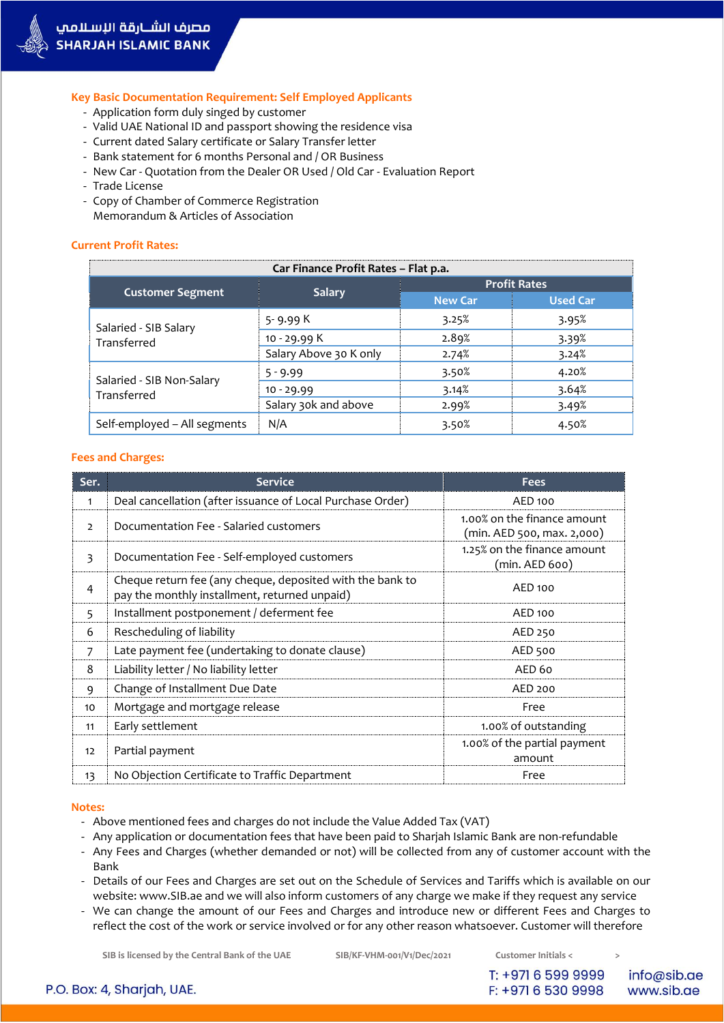

**Key Basic Documentation Requirement: Self Employed Applicants**

- Application form duly singed by customer
- Valid UAE National ID and passport showing the residence visa
- Current dated Salary certificate or Salary Transfer letter
- Bank statement for 6 months Personal and / OR Business
- New Car Quotation from the Dealer OR Used / Old Car Evaluation Report
- Trade License
- Copy of Chamber of Commerce Registration Memorandum & Articles of Association

## **Current Profit Rates:**

| Car Finance Profit Rates - Flat p.a.     |                        |                     |                 |  |
|------------------------------------------|------------------------|---------------------|-----------------|--|
|                                          | <b>Salary</b>          | <b>Profit Rates</b> |                 |  |
| <b>Customer Segment</b>                  |                        | <b>New Car</b>      | <b>Used Car</b> |  |
| Salaried - SIB Salary<br>Transferred     | 5-9.99 K               | 3.25%               | 3.95%           |  |
|                                          | 10 - 29.99 K           | 2.89%               | 3.39%           |  |
|                                          | Salary Above 30 K only | 2.74%               | 3.24%           |  |
| Salaried - SIB Non-Salary<br>Transferred | $5 - 9.99$             | 3.50%               | 4.20%           |  |
|                                          | $10 - 29.99$           | 3.14%               | 3.64%           |  |
|                                          | Salary 30k and above   | 2.99%               | 3.49%           |  |
| Self-employed - All segments             | N/A                    | 3.50%               | 4.50%           |  |

### **Fees and Charges:**

| Ser.           | <b>Service</b>                                                                                             | <b>Fees</b>                                               |
|----------------|------------------------------------------------------------------------------------------------------------|-----------------------------------------------------------|
| 1              | Deal cancellation (after issuance of Local Purchase Order)                                                 | AED 100                                                   |
| $\overline{2}$ | Documentation Fee - Salaried customers                                                                     | 1.00% on the finance amount<br>(min. AED 500, max. 2,000) |
| 3              | Documentation Fee - Self-employed customers                                                                | 1.25% on the finance amount<br>(min. AED 600)             |
| 4              | Cheque return fee (any cheque, deposited with the bank to<br>pay the monthly installment, returned unpaid) | AED 100                                                   |
| 5              | Installment postponement / deferment fee                                                                   | AED 100                                                   |
| 6              | Rescheduling of liability                                                                                  | AED 250                                                   |
| 7              | Late payment fee (undertaking to donate clause)                                                            | AED 500                                                   |
| 8              | Liability letter / No liability letter                                                                     | AED <sub>60</sub>                                         |
| 9              | Change of Installment Due Date                                                                             | AED 200                                                   |
| 10             | Mortgage and mortgage release                                                                              | Free                                                      |
| 11             | Early settlement                                                                                           | 1.00% of outstanding                                      |
| 12             | Partial payment                                                                                            | 1.00% of the partial payment<br>amount                    |
| 13             | No Objection Certificate to Traffic Department                                                             | Free                                                      |

#### **Notes:**

- Above mentioned fees and charges do not include the Value Added Tax (VAT)
- Any application or documentation fees that have been paid to Sharjah Islamic Bank are non-refundable
- Any Fees and Charges (whether demanded or not) will be collected from any of customer account with the Bank
- Details of our Fees and Charges are set out on the Schedule of Services and Tariffs which is available on our website: www.SIB.ae and we will also inform customers of any charge we make if they request any service
- We can change the amount of our Fees and Charges and introduce new or different Fees and Charges to reflect the cost of the work or service involved or for any other reason whatsoever. Customer will therefore

**SIB is licensed by the Central Bank of the UAE SIB/KF-VHM-001/V1/Dec/2021 Customer Initials < >**

T: +971 6 599 9999 F: +971 6 530 9998

info@sib.ae www.sib.ae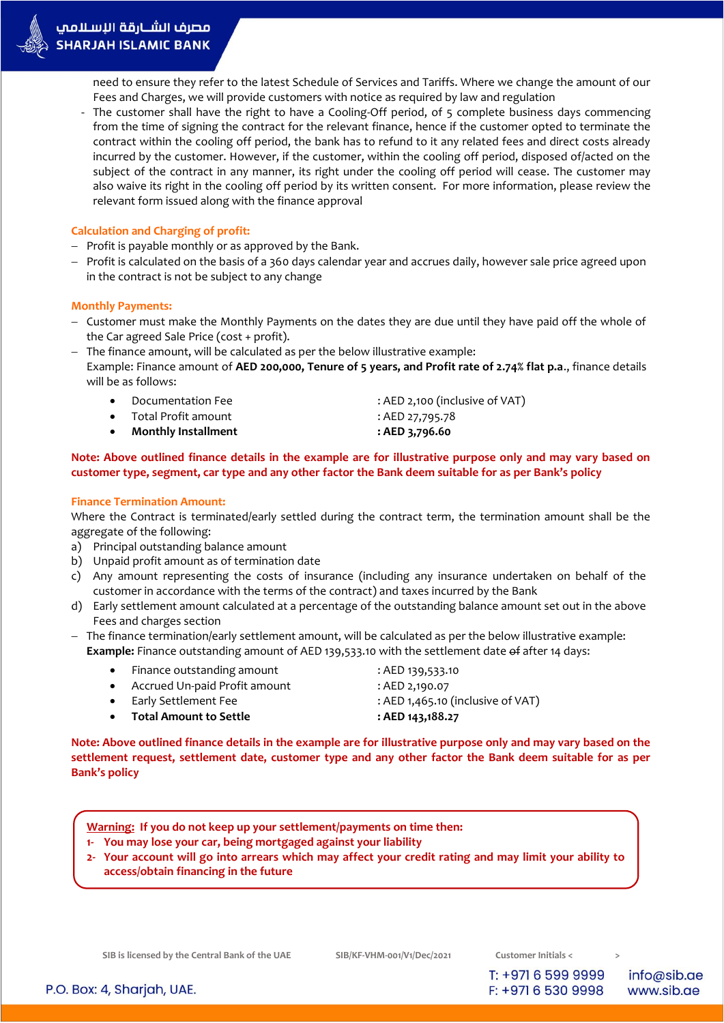need to ensure they refer to the latest Schedule of Services and Tariffs. Where we change the amount of our Fees and Charges, we will provide customers with notice as required by law and regulation

- The customer shall have the right to have a Cooling-Off period, of 5 complete business days commencing from the time of signing the contract for the relevant finance, hence if the customer opted to terminate the contract within the cooling off period, the bank has to refund to it any related fees and direct costs already incurred by the customer. However, if the customer, within the cooling off period, disposed of/acted on the subject of the contract in any manner, its right under the cooling off period will cease. The customer may also waive its right in the cooling off period by its written consent. For more information, please review the relevant form issued along with the finance approval

# **Calculation and Charging of profit:**

- $-$  Profit is payable monthly or as approved by the Bank.
- Profit is calculated on the basis of a 360 days calendar year and accrues daily, however sale price agreed upon in the contract is not be subject to any change

# **Monthly Payments:**

- Customer must make the Monthly Payments on the dates they are due until they have paid off the whole of the Car agreed Sale Price (cost + profit).
- The finance amount, will be calculated as per the below illustrative example: Example: Finance amount of **AED 200,000, Tenure of 5 years, and Profit rate of 2.74% flat p.a**., finance details will be as follows:
	- Documentation Fee : AED 2,100 (inclusive of VAT)
	- Total Profit amount : AED 27,795.78
	- **Monthly Installment : AED 3,796.60**
- 
- -

## **Note: Above outlined finance details in the example are for illustrative purpose only and may vary based on customer type, segment, car type and any other factor the Bank deem suitable for as per Bank's policy**

# **Finance Termination Amount:**

Where the Contract is terminated/early settled during the contract term, the termination amount shall be the aggregate of the following:

- a) Principal outstanding balance amount
- b) Unpaid profit amount as of termination date
- c) Any amount representing the costs of insurance (including any insurance undertaken on behalf of the customer in accordance with the terms of the contract) and taxes incurred by the Bank
- d) Early settlement amount calculated at a percentage of the outstanding balance amount set out in the above Fees and charges section
- The finance termination/early settlement amount, will be calculated as per the below illustrative example: **Example:** Finance outstanding amount of AED 139,533.10 with the settlement date of after 14 days:
	- Finance outstanding amount : AED 139,533.10
	- Accrued Un-paid Profit amount : AED 2,190.07
	-
- -
- **Total Amount to Settle : AED 143,188.27**

Early Settlement Fee : AED 1,465.10 (inclusive of VAT)

**Note: Above outlined finance details in the example are for illustrative purpose only and may vary based on the settlement request, settlement date, customer type and any other factor the Bank deem suitable for as per Bank's policy**

**Warning: If you do not keep up your settlement/payments on time then:**

- **1- You may lose your car, being mortgaged against your liability**
- **2- Your account will go into arrears which may affect your credit rating and may limit your ability to access/obtain financing in the future**

**SIB is licensed by the Central Bank of the UAE SIB/KF-VHM-001/V1/Dec/2021 Customer Initials < >**

T: +971 6 599 9999 F: +971 6 530 9998

info@sib.ae www.sib.ae